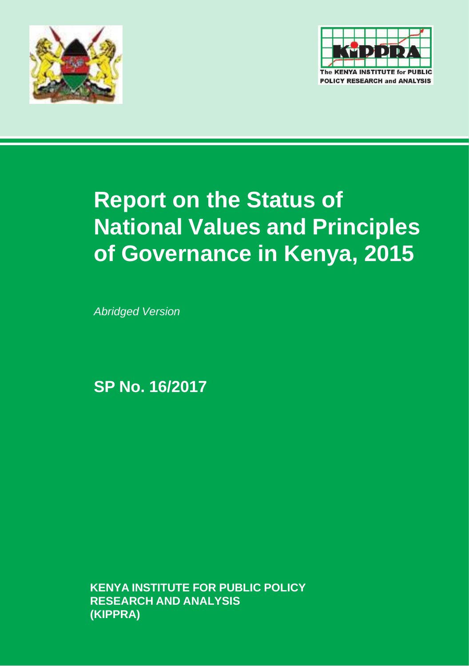



# **Report on the Status of National Values and Principles of Governance in Kenya, 2015**

*Abridged Version*

**SP No. 16/2017**

**KENYA INSTITUTE FOR PUBLIC POLICY RESEARCH AND ANALYSIS (KIPPRA)**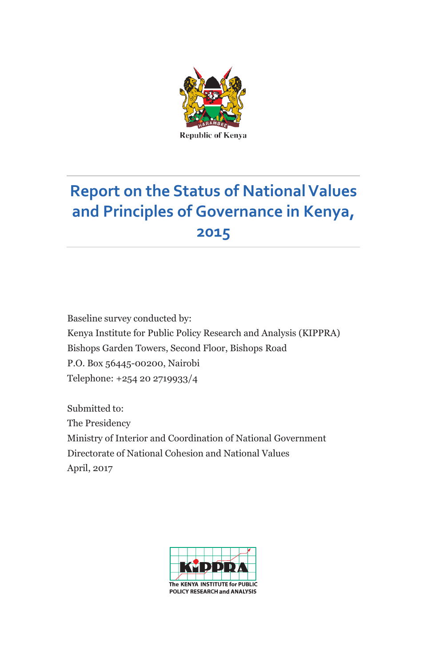

# **Report on the Status of NationalValues and Principles of Governance in Kenya, 2015**

Baseline survey conducted by: Kenya Institute for Public Policy Research and Analysis (KIPPRA) Bishops Garden Towers, Second Floor, Bishops Road P.O. Box 56445-00200, Nairobi Telephone: +254 20 2719933/4

Submitted to: The Presidency Ministry of Interior and Coordination of National Government Directorate of National Cohesion and National Values April, 2017

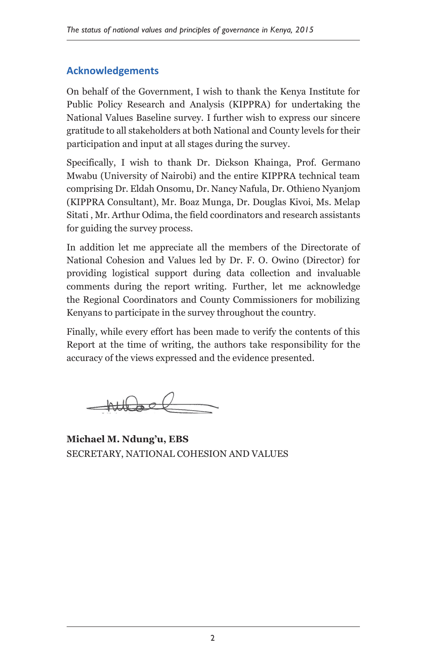#### **Acknowledgements**

On behalf of the Government, I wish to thank the Kenya Institute for Public Policy Research and Analysis (KIPPRA) for undertaking the National Values Baseline survey. I further wish to express our sincere gratitude to all stakeholders at both National and County levels for their participation and input at all stages during the survey.

Specifically, I wish to thank Dr. Dickson Khainga, Prof. Germano Mwabu (University of Nairobi) and the entire KIPPRA technical team comprising Dr. Eldah Onsomu, Dr. Nancy Nafula, Dr. Othieno Nyanjom (KIPPRA Consultant), Mr. Boaz Munga, Dr. Douglas Kivoi, Ms. Melap Sitati , Mr. Arthur Odima, the field coordinators and research assistants for guiding the survey process.

In addition let me appreciate all the members of the Directorate of National Cohesion and Values led by Dr. F. O. Owino (Director) for providing logistical support during data collection and invaluable comments during the report writing. Further, let me acknowledge the Regional Coordinators and County Commissioners for mobilizing Kenyans to participate in the survey throughout the country.

Finally, while every effort has been made to verify the contents of this Report at the time of writing, the authors take responsibility for the accuracy of the views expressed and the evidence presented.

 $-$ hubsel

**Michael M. Ndung'u, EBS** SECRETARY, NATIONAL COHESION AND VALUES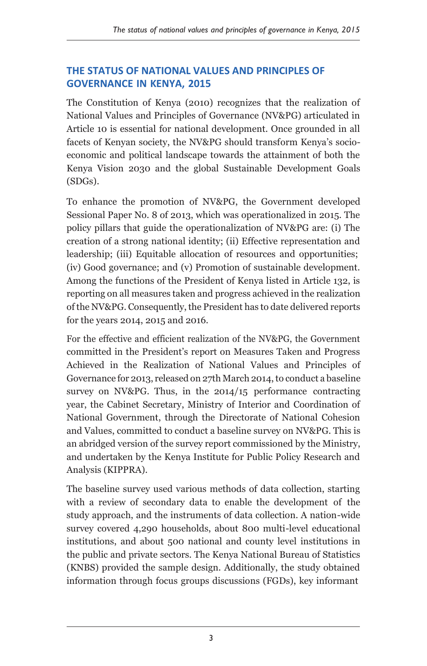#### **THE STATUS OF NATIONAL VALUES AND PRINCIPLES OF GOVERNANCE IN KENYA, 2015**

The Constitution of Kenya (2010) recognizes that the realization of National Values and Principles of Governance (NV&PG) articulated in Article 10 is essential for national development. Once grounded in all facets of Kenyan society, the NV&PG should transform Kenya's socioeconomic and political landscape towards the attainment of both the Kenya Vision 2030 and the global Sustainable Development Goals (SDGs).

To enhance the promotion of NV&PG, the Government developed Sessional Paper No. 8 of 2013, which was operationalized in 2015. The policy pillars that guide the operationalization of NV&PG are: (i) The creation of a strong national identity; (ii) Effective representation and leadership; (iii) Equitable allocation of resources and opportunities; (iv) Good governance; and (v) Promotion of sustainable development. Among the functions of the President of Kenya listed in Article 132, is reporting on all measures taken and progress achieved in the realization of the NV&PG. Consequently, the President has to date delivered reports for the years 2014, 2015 and 2016.

For the effective and efficient realization of the NV&PG, the Government committed in the President's report on Measures Taken and Progress Achieved in the Realization of National Values and Principles of Governance for 2013, released on 27th March 2014, to conduct a baseline survey on NV&PG. Thus, in the 2014/15 performance contracting year, the Cabinet Secretary, Ministry of Interior and Coordination of National Government, through the Directorate of National Cohesion and Values, committed to conduct a baseline survey on NV&PG. This is an abridged version of the survey report commissioned by the Ministry, and undertaken by the Kenya Institute for Public Policy Research and Analysis (KIPPRA).

The baseline survey used various methods of data collection, starting with a review of secondary data to enable the development of the study approach, and the instruments of data collection. A nation-wide survey covered 4,290 households, about 800 multi-level educational institutions, and about 500 national and county level institutions in the public and private sectors. The Kenya National Bureau of Statistics (KNBS) provided the sample design. Additionally, the study obtained information through focus groups discussions (FGDs), key informant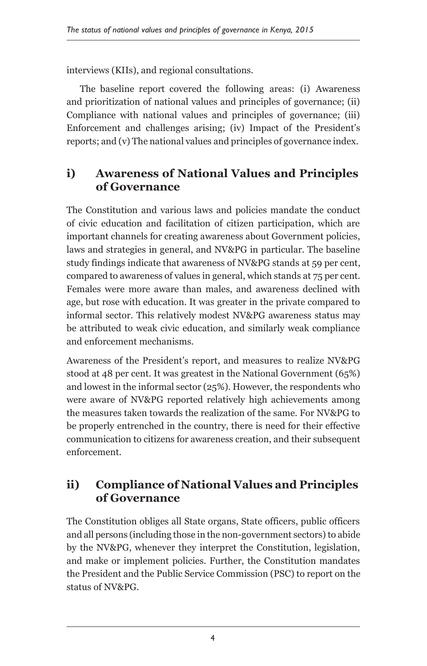interviews (KIIs), and regional consultations.

The baseline report covered the following areas: (i) Awareness and prioritization of national values and principles of governance; (ii) Compliance with national values and principles of governance; (iii) Enforcement and challenges arising; (iv) Impact of the President's reports; and (v) The national values and principles of governance index.

#### **i) Awareness of National Values and Principles of Governance**

The Constitution and various laws and policies mandate the conduct of civic education and facilitation of citizen participation, which are important channels for creating awareness about Government policies, laws and strategies in general, and NV&PG in particular. The baseline study findings indicate that awareness of NV&PG stands at 59 per cent, compared to awareness of values in general, which stands at 75 per cent. Females were more aware than males, and awareness declined with age, but rose with education. It was greater in the private compared to informal sector. This relatively modest NV&PG awareness status may be attributed to weak civic education, and similarly weak compliance and enforcement mechanisms.

Awareness of the President's report, and measures to realize NV&PG stood at 48 per cent. It was greatest in the National Government (65%) and lowest in the informal sector (25%). However, the respondents who were aware of NV&PG reported relatively high achievements among the measures taken towards the realization of the same. For NV&PG to be properly entrenched in the country, there is need for their effective communication to citizens for awareness creation, and their subsequent enforcement.

#### **ii) Compliance of National Values and Principles of Governance**

The Constitution obliges all State organs, State officers, public officers and all persons (including those in the non-government sectors) to abide by the NV&PG, whenever they interpret the Constitution, legislation, and make or implement policies. Further, the Constitution mandates the President and the Public Service Commission (PSC) to report on the status of NV&PG.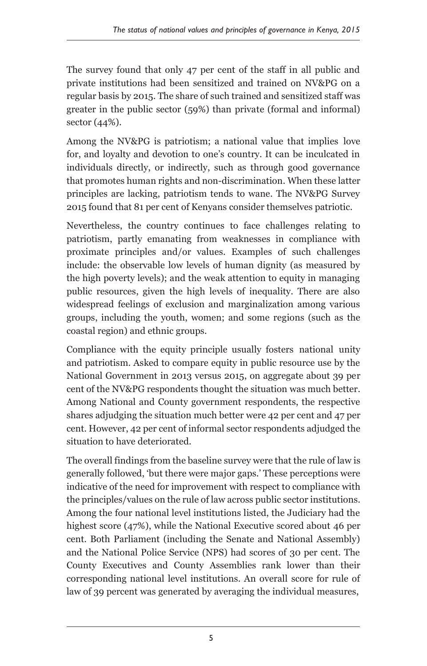The survey found that only 47 per cent of the staff in all public and private institutions had been sensitized and trained on NV&PG on a regular basis by 2015. The share of such trained and sensitized staff was greater in the public sector (59%) than private (formal and informal) sector (44%).

Among the NV&PG is patriotism; a national value that implies love for, and loyalty and devotion to one's country. It can be inculcated in individuals directly, or indirectly, such as through good governance that promotes human rights and non-discrimination. When these latter principles are lacking, patriotism tends to wane. The NV&PG Survey 2015 found that 81 per cent of Kenyans consider themselves patriotic.

Nevertheless, the country continues to face challenges relating to patriotism, partly emanating from weaknesses in compliance with proximate principles and/or values. Examples of such challenges include: the observable low levels of human dignity (as measured by the high poverty levels); and the weak attention to equity in managing public resources, given the high levels of inequality. There are also widespread feelings of exclusion and marginalization among various groups, including the youth, women; and some regions (such as the coastal region) and ethnic groups.

Compliance with the equity principle usually fosters national unity and patriotism. Asked to compare equity in public resource use by the National Government in 2013 versus 2015, on aggregate about 39 per cent of the NV&PG respondents thought the situation was much better. Among National and County government respondents, the respective shares adjudging the situation much better were 42 per cent and 47 per cent. However, 42 per cent of informal sector respondents adjudged the situation to have deteriorated.

The overall findings from the baseline survey were that the rule of law is generally followed, 'but there were major gaps.' These perceptions were indicative of the need for improvement with respect to compliance with the principles/values on the rule of law across public sector institutions. Among the four national level institutions listed, the Judiciary had the highest score (47%), while the National Executive scored about 46 per cent. Both Parliament (including the Senate and National Assembly) and the National Police Service (NPS) had scores of 30 per cent. The County Executives and County Assemblies rank lower than their corresponding national level institutions. An overall score for rule of law of 39 percent was generated by averaging the individual measures,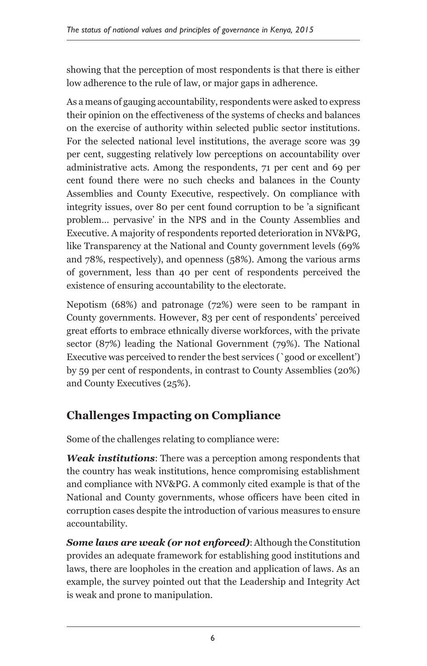showing that the perception of most respondents is that there is either low adherence to the rule of law, or major gaps in adherence.

As a means of gauging accountability, respondents were asked to express their opinion on the effectiveness of the systems of checks and balances on the exercise of authority within selected public sector institutions. For the selected national level institutions, the average score was 39 per cent, suggesting relatively low perceptions on accountability over administrative acts. Among the respondents, 71 per cent and 69 per cent found there were no such checks and balances in the County Assemblies and County Executive, respectively. On compliance with integrity issues, over 80 per cent found corruption to be 'a significant problem… pervasive' in the NPS and in the County Assemblies and Executive. A majority of respondents reported deterioration in NV&PG, like Transparency at the National and County government levels (69% and 78%, respectively), and openness (58%). Among the various arms of government, less than 40 per cent of respondents perceived the existence of ensuring accountability to the electorate.

Nepotism (68%) and patronage (72%) were seen to be rampant in County governments. However, 83 per cent of respondents' perceived great efforts to embrace ethnically diverse workforces, with the private sector (87%) leading the National Government (79%). The National Executive was perceived to render the best services (`good or excellent') by 59 per cent of respondents, in contrast to County Assemblies (20%) and County Executives (25%).

## **Challenges Impacting on Compliance**

Some of the challenges relating to compliance were:

*Weak institutions*: There was a perception among respondents that the country has weak institutions, hence compromising establishment and compliance with NV&PG. A commonly cited example is that of the National and County governments, whose officers have been cited in corruption cases despite the introduction of various measures to ensure accountability.

*Some laws are weak (or not enforced)*: Although the Constitution provides an adequate framework for establishing good institutions and laws, there are loopholes in the creation and application of laws. As an example, the survey pointed out that the Leadership and Integrity Act is weak and prone to manipulation.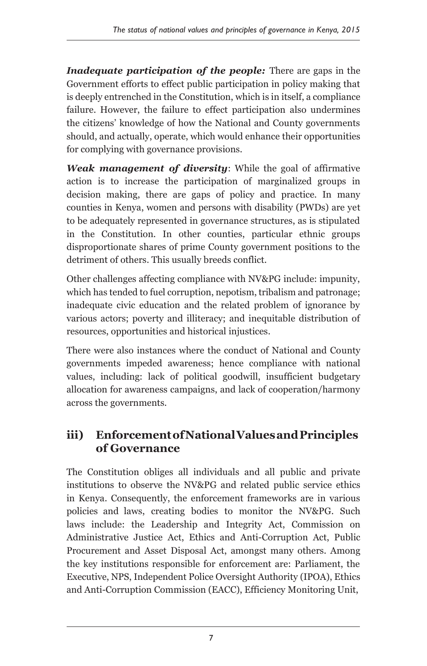*Inadequate participation of the people:* There are gaps in the Government efforts to effect public participation in policy making that is deeply entrenched in the Constitution, which is in itself, a compliance failure. However, the failure to effect participation also undermines the citizens' knowledge of how the National and County governments should, and actually, operate, which would enhance their opportunities for complying with governance provisions.

*Weak management of diversity*: While the goal of affirmative action is to increase the participation of marginalized groups in decision making, there are gaps of policy and practice. In many counties in Kenya, women and persons with disability (PWDs) are yet to be adequately represented in governance structures, as is stipulated in the Constitution. In other counties, particular ethnic groups disproportionate shares of prime County government positions to the detriment of others. This usually breeds conflict.

Other challenges affecting compliance with NV&PG include: impunity, which has tended to fuel corruption, nepotism, tribalism and patronage; inadequate civic education and the related problem of ignorance by various actors; poverty and illiteracy; and inequitable distribution of resources, opportunities and historical injustices.

There were also instances where the conduct of National and County governments impeded awareness; hence compliance with national values, including: lack of political goodwill, insufficient budgetary allocation for awareness campaigns, and lack of cooperation/harmony across the governments.

#### **iii) EnforcementofNationalValuesandPrinciples of Governance**

The Constitution obliges all individuals and all public and private institutions to observe the NV&PG and related public service ethics in Kenya. Consequently, the enforcement frameworks are in various policies and laws, creating bodies to monitor the NV&PG. Such laws include: the Leadership and Integrity Act, Commission on Administrative Justice Act, Ethics and Anti-Corruption Act, Public Procurement and Asset Disposal Act, amongst many others. Among the key institutions responsible for enforcement are: Parliament, the Executive, NPS, Independent Police Oversight Authority (IPOA), Ethics and Anti-Corruption Commission (EACC), Efficiency Monitoring Unit,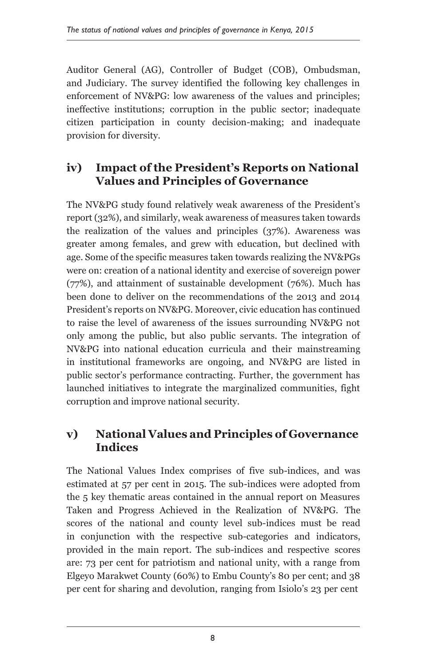Auditor General (AG), Controller of Budget (COB), Ombudsman, and Judiciary. The survey identified the following key challenges in enforcement of NV&PG: low awareness of the values and principles; ineffective institutions; corruption in the public sector; inadequate citizen participation in county decision-making; and inadequate provision for diversity.

#### **iv) Impact of the President's Reports on National Values and Principles of Governance**

The NV&PG study found relatively weak awareness of the President's report (32%), and similarly, weak awareness of measures taken towards the realization of the values and principles (37%). Awareness was greater among females, and grew with education, but declined with age. Some of the specific measures taken towards realizing the NV&PGs were on: creation of a national identity and exercise of sovereign power (77%), and attainment of sustainable development (76%). Much has been done to deliver on the recommendations of the 2013 and 2014 President's reports on NV&PG. Moreover, civic education has continued to raise the level of awareness of the issues surrounding NV&PG not only among the public, but also public servants. The integration of NV&PG into national education curricula and their mainstreaming in institutional frameworks are ongoing, and NV&PG are listed in public sector's performance contracting. Further, the government has launched initiatives to integrate the marginalized communities, fight corruption and improve national security.

#### **v) National Values and Principles of Governance Indices**

The National Values Index comprises of five sub-indices, and was estimated at 57 per cent in 2015. The sub-indices were adopted from the 5 key thematic areas contained in the annual report on Measures Taken and Progress Achieved in the Realization of NV&PG. The scores of the national and county level sub-indices must be read in conjunction with the respective sub-categories and indicators, provided in the main report. The sub-indices and respective scores are: 73 per cent for patriotism and national unity, with a range from Elgeyo Marakwet County (60%) to Embu County's 80 per cent; and 38 per cent for sharing and devolution, ranging from Isiolo's 23 per cent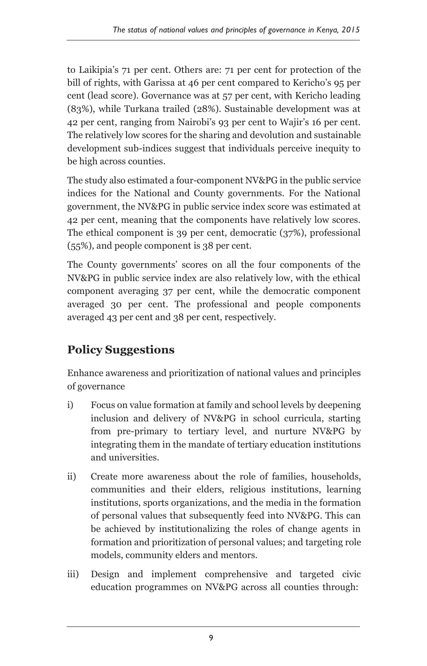to Laikipia's 71 per cent. Others are: 71 per cent for protection of the bill of rights, with Garissa at 46 per cent compared to Kericho's 95 per cent (lead score). Governance was at 57 per cent, with Kericho leading (83%), while Turkana trailed (28%). Sustainable development was at 42 per cent, ranging from Nairobi's 93 per cent to Wajir's 16 per cent. The relatively low scores for the sharing and devolution and sustainable development sub-indices suggest that individuals perceive inequity to be high across counties.

The study also estimated a four-component NV&PG in the public service indices for the National and County governments. For the National government, the NV&PG in public service index score was estimated at 42 per cent, meaning that the components have relatively low scores. The ethical component is 39 per cent, democratic (37%), professional (55%), and people component is 38 per cent.

The County governments' scores on all the four components of the NV&PG in public service index are also relatively low, with the ethical component averaging 37 per cent, while the democratic component averaged 30 per cent. The professional and people components averaged 43 per cent and 38 per cent, respectively.

## **Policy Suggestions**

Enhance awareness and prioritization of national values and principles of governance

- i) Focus on value formation at family and school levels by deepening inclusion and delivery of NV&PG in school curricula, starting from pre-primary to tertiary level, and nurture NV&PG by integrating them in the mandate of tertiary education institutions and universities.
- ii) Create more awareness about the role of families, households, communities and their elders, religious institutions, learning institutions, sports organizations, and the media in the formation of personal values that subsequently feed into NV&PG. This can be achieved by institutionalizing the roles of change agents in formation and prioritization of personal values; and targeting role models, community elders and mentors.
- iii) Design and implement comprehensive and targeted civic education programmes on NV&PG across all counties through: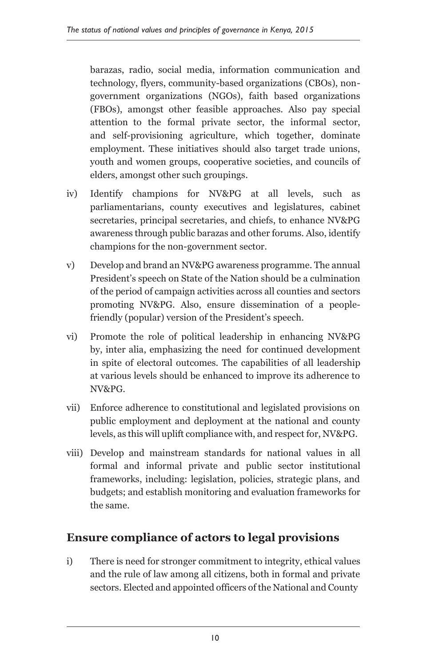barazas, radio, social media, information communication and technology, flyers, community-based organizations (CBOs), nongovernment organizations (NGOs), faith based organizations (FBOs), amongst other feasible approaches. Also pay special attention to the formal private sector, the informal sector, and self-provisioning agriculture, which together, dominate employment. These initiatives should also target trade unions, youth and women groups, cooperative societies, and councils of elders, amongst other such groupings.

- iv) Identify champions for NV&PG at all levels, such as parliamentarians, county executives and legislatures, cabinet secretaries, principal secretaries, and chiefs, to enhance NV&PG awareness through public barazas and other forums. Also, identify champions for the non-government sector.
- v) Develop and brand an NV&PG awareness programme. The annual President's speech on State of the Nation should be a culmination of the period of campaign activities across all counties and sectors promoting NV&PG. Also, ensure dissemination of a peoplefriendly (popular) version of the President's speech.
- vi) Promote the role of political leadership in enhancing NV&PG by, inter alia, emphasizing the need for continued development in spite of electoral outcomes. The capabilities of all leadership at various levels should be enhanced to improve its adherence to NV&PG.
- vii) Enforce adherence to constitutional and legislated provisions on public employment and deployment at the national and county levels, as this will uplift compliance with, and respect for, NV&PG.
- viii) Develop and mainstream standards for national values in all formal and informal private and public sector institutional frameworks, including: legislation, policies, strategic plans, and budgets; and establish monitoring and evaluation frameworks for the same.

#### **Ensure compliance of actors to legal provisions**

i) There is need for stronger commitment to integrity, ethical values and the rule of law among all citizens, both in formal and private sectors. Elected and appointed officers of the National and County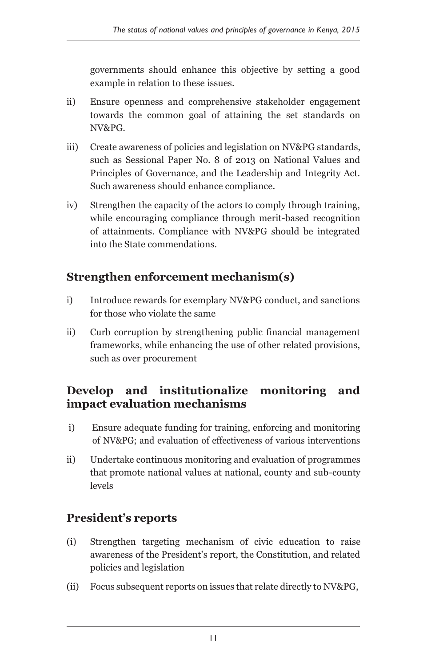governments should enhance this objective by setting a good example in relation to these issues.

- ii) Ensure openness and comprehensive stakeholder engagement towards the common goal of attaining the set standards on NV&PG.
- iii) Create awareness of policies and legislation on NV&PG standards, such as Sessional Paper No. 8 of 2013 on National Values and Principles of Governance, and the Leadership and Integrity Act. Such awareness should enhance compliance.
- iv) Strengthen the capacity of the actors to comply through training, while encouraging compliance through merit-based recognition of attainments. Compliance with NV&PG should be integrated into the State commendations.

#### **Strengthen enforcement mechanism(s)**

- i) Introduce rewards for exemplary NV&PG conduct, and sanctions for those who violate the same
- ii) Curb corruption by strengthening public financial management frameworks, while enhancing the use of other related provisions, such as over procurement

#### **Develop and institutionalize monitoring and impact evaluation mechanisms**

- i) Ensure adequate funding for training, enforcing and monitoring of NV&PG; and evaluation of effectiveness of various interventions
- ii) Undertake continuous monitoring and evaluation of programmes that promote national values at national, county and sub-county levels

#### **President's reports**

- (i) Strengthen targeting mechanism of civic education to raise awareness of the President's report, the Constitution, and related policies and legislation
- (ii) Focus subsequent reports on issues that relate directly to NV&PG,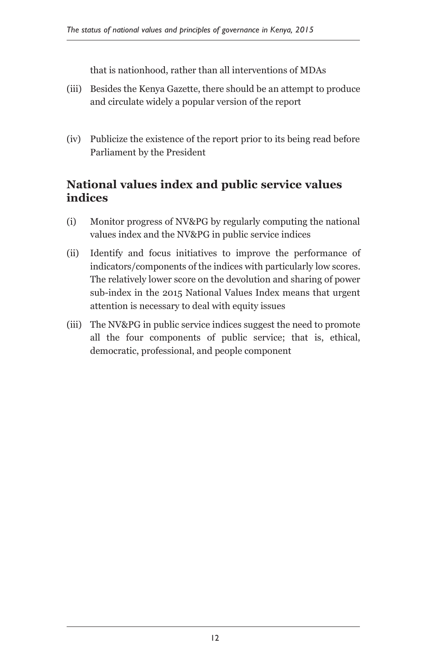that is nationhood, rather than all interventions of MDAs

- (iii) Besides the Kenya Gazette, there should be an attempt to produce and circulate widely a popular version of the report
- (iv) Publicize the existence of the report prior to its being read before Parliament by the President

#### **National values index and public service values indices**

- (i) Monitor progress of NV&PG by regularly computing the national values index and the NV&PG in public service indices
- (ii) Identify and focus initiatives to improve the performance of indicators/components of the indices with particularly low scores. The relatively lower score on the devolution and sharing of power sub-index in the 2015 National Values Index means that urgent attention is necessary to deal with equity issues
- (iii) The NV&PG in public service indices suggest the need to promote all the four components of public service; that is, ethical, democratic, professional, and people component